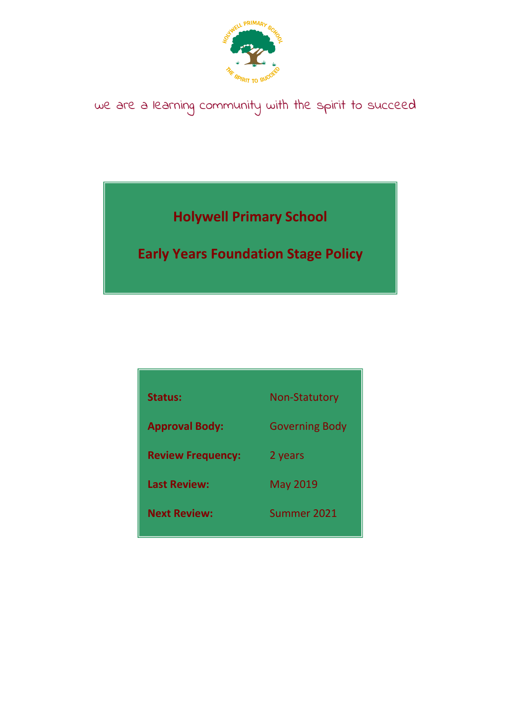

# we are a learning community with the spirit to succeed

**Holywell Primary School**

**Early Years Foundation Stage Policy**

| <b>Status:</b>           | <b>Non-Statutory</b>  |
|--------------------------|-----------------------|
| <b>Approval Body:</b>    | <b>Governing Body</b> |
| <b>Review Frequency:</b> | 2 years               |
| <b>Last Review:</b>      | <b>May 2019</b>       |
| <b>Next Review:</b>      | Summer 2021           |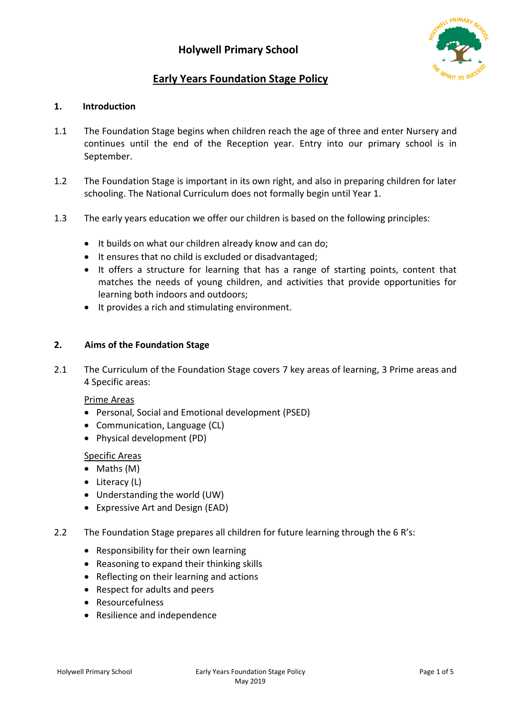

# **Early Years Foundation Stage Policy**

# **1. Introduction**

- 1.1 The Foundation Stage begins when children reach the age of three and enter Nursery and continues until the end of the Reception year. Entry into our primary school is in September.
- 1.2 The Foundation Stage is important in its own right, and also in preparing children for later schooling. The National Curriculum does not formally begin until Year 1.
- 1.3 The early years education we offer our children is based on the following principles:
	- It builds on what our children already know and can do;
	- It ensures that no child is excluded or disadvantaged;
	- It offers a structure for learning that has a range of starting points, content that matches the needs of young children, and activities that provide opportunities for learning both indoors and outdoors;
	- It provides a rich and stimulating environment.

#### **2. Aims of the Foundation Stage**

2.1 The Curriculum of the Foundation Stage covers 7 key areas of learning, 3 Prime areas and 4 Specific areas:

#### Prime Areas

- Personal, Social and Emotional development (PSED)
- Communication, Language (CL)
- Physical development (PD)

#### Specific Areas

- Maths (M)
- $\bullet$  Literacy (L)
- Understanding the world (UW)
- Expressive Art and Design (EAD)
- 2.2 The Foundation Stage prepares all children for future learning through the 6 R's:
	- Responsibility for their own learning
	- Reasoning to expand their thinking skills
	- Reflecting on their learning and actions
	- Respect for adults and peers
	- Resourcefulness
	- Resilience and independence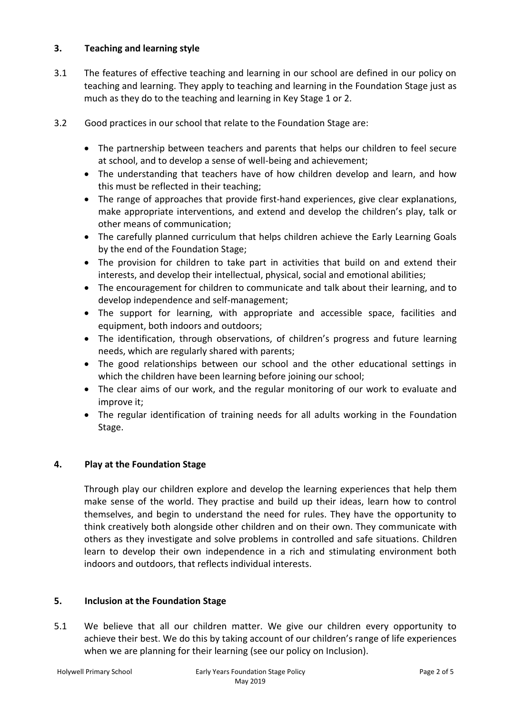# **3. Teaching and learning style**

- 3.1 The features of effective teaching and learning in our school are defined in our policy on teaching and learning. They apply to teaching and learning in the Foundation Stage just as much as they do to the teaching and learning in Key Stage 1 or 2.
- 3.2 Good practices in our school that relate to the Foundation Stage are:
	- The partnership between teachers and parents that helps our children to feel secure at school, and to develop a sense of well-being and achievement;
	- The understanding that teachers have of how children develop and learn, and how this must be reflected in their teaching;
	- The range of approaches that provide first-hand experiences, give clear explanations, make appropriate interventions, and extend and develop the children's play, talk or other means of communication;
	- The carefully planned curriculum that helps children achieve the Early Learning Goals by the end of the Foundation Stage;
	- The provision for children to take part in activities that build on and extend their interests, and develop their intellectual, physical, social and emotional abilities;
	- The encouragement for children to communicate and talk about their learning, and to develop independence and self-management;
	- The support for learning, with appropriate and accessible space, facilities and equipment, both indoors and outdoors;
	- The identification, through observations, of children's progress and future learning needs, which are regularly shared with parents;
	- The good relationships between our school and the other educational settings in which the children have been learning before joining our school;
	- The clear aims of our work, and the regular monitoring of our work to evaluate and improve it;
	- The regular identification of training needs for all adults working in the Foundation Stage.

#### **4. Play at the Foundation Stage**

Through play our children explore and develop the learning experiences that help them make sense of the world. They practise and build up their ideas, learn how to control themselves, and begin to understand the need for rules. They have the opportunity to think creatively both alongside other children and on their own. They communicate with others as they investigate and solve problems in controlled and safe situations. Children learn to develop their own independence in a rich and stimulating environment both indoors and outdoors, that reflects individual interests.

#### **5. Inclusion at the Foundation Stage**

5.1 We believe that all our children matter. We give our children every opportunity to achieve their best. We do this by taking account of our children's range of life experiences when we are planning for their learning (see our policy on Inclusion).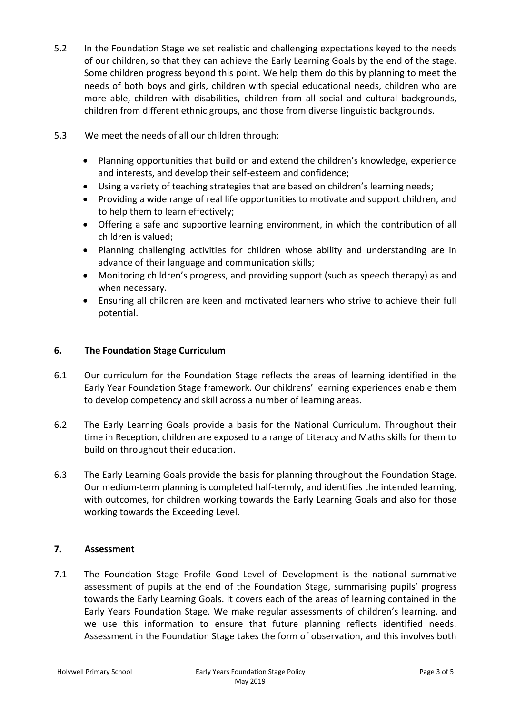- 5.2 In the Foundation Stage we set realistic and challenging expectations keyed to the needs of our children, so that they can achieve the Early Learning Goals by the end of the stage. Some children progress beyond this point. We help them do this by planning to meet the needs of both boys and girls, children with special educational needs, children who are more able, children with disabilities, children from all social and cultural backgrounds, children from different ethnic groups, and those from diverse linguistic backgrounds.
- 5.3 We meet the needs of all our children through:
	- Planning opportunities that build on and extend the children's knowledge, experience and interests, and develop their self-esteem and confidence;
	- Using a variety of teaching strategies that are based on children's learning needs;
	- Providing a wide range of real life opportunities to motivate and support children, and to help them to learn effectively;
	- Offering a safe and supportive learning environment, in which the contribution of all children is valued;
	- Planning challenging activities for children whose ability and understanding are in advance of their language and communication skills;
	- Monitoring children's progress, and providing support (such as speech therapy) as and when necessary.
	- Ensuring all children are keen and motivated learners who strive to achieve their full potential.

## **6. The Foundation Stage Curriculum**

- 6.1 Our curriculum for the Foundation Stage reflects the areas of learning identified in the Early Year Foundation Stage framework. Our childrens' learning experiences enable them to develop competency and skill across a number of learning areas.
- 6.2 The Early Learning Goals provide a basis for the National Curriculum. Throughout their time in Reception, children are exposed to a range of Literacy and Maths skills for them to build on throughout their education.
- 6.3 The Early Learning Goals provide the basis for planning throughout the Foundation Stage. Our medium-term planning is completed half-termly, and identifies the intended learning, with outcomes, for children working towards the Early Learning Goals and also for those working towards the Exceeding Level.

#### **7. Assessment**

7.1 The Foundation Stage Profile Good Level of Development is the national summative assessment of pupils at the end of the Foundation Stage, summarising pupils' progress towards the Early Learning Goals. It covers each of the areas of learning contained in the Early Years Foundation Stage. We make regular assessments of children's learning, and we use this information to ensure that future planning reflects identified needs. Assessment in the Foundation Stage takes the form of observation, and this involves both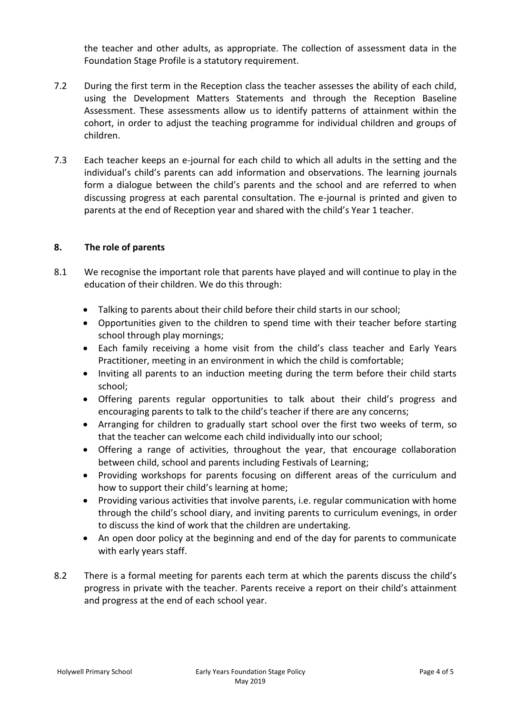the teacher and other adults, as appropriate. The collection of assessment data in the Foundation Stage Profile is a statutory requirement.

- 7.2 During the first term in the Reception class the teacher assesses the ability of each child, using the Development Matters Statements and through the Reception Baseline Assessment. These assessments allow us to identify patterns of attainment within the cohort, in order to adjust the teaching programme for individual children and groups of children.
- 7.3 Each teacher keeps an e-journal for each child to which all adults in the setting and the individual's child's parents can add information and observations. The learning journals form a dialogue between the child's parents and the school and are referred to when discussing progress at each parental consultation. The e-journal is printed and given to parents at the end of Reception year and shared with the child's Year 1 teacher.

#### **8. The role of parents**

- 8.1 We recognise the important role that parents have played and will continue to play in the education of their children. We do this through:
	- Talking to parents about their child before their child starts in our school;
	- Opportunities given to the children to spend time with their teacher before starting school through play mornings;
	- Each family receiving a home visit from the child's class teacher and Early Years Practitioner, meeting in an environment in which the child is comfortable;
	- Inviting all parents to an induction meeting during the term before their child starts school;
	- Offering parents regular opportunities to talk about their child's progress and encouraging parents to talk to the child's teacher if there are any concerns;
	- Arranging for children to gradually start school over the first two weeks of term, so that the teacher can welcome each child individually into our school;
	- Offering a range of activities, throughout the year, that encourage collaboration between child, school and parents including Festivals of Learning;
	- Providing workshops for parents focusing on different areas of the curriculum and how to support their child's learning at home;
	- Providing various activities that involve parents, i.e. regular communication with home through the child's school diary, and inviting parents to curriculum evenings, in order to discuss the kind of work that the children are undertaking.
	- An open door policy at the beginning and end of the day for parents to communicate with early years staff.
- 8.2 There is a formal meeting for parents each term at which the parents discuss the child's progress in private with the teacher. Parents receive a report on their child's attainment and progress at the end of each school year.